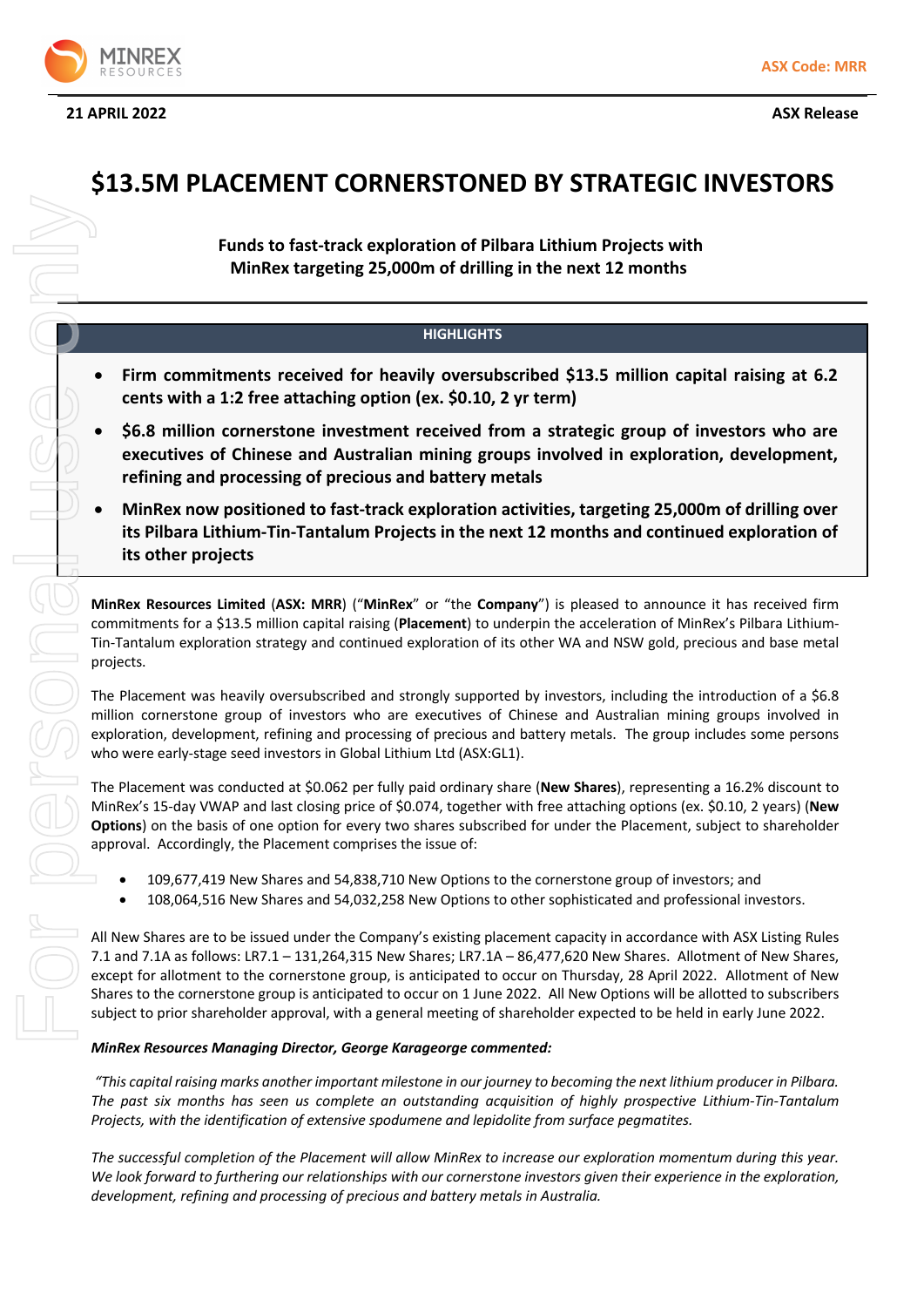

# **\$13.5M PLACEMENT CORNERSTONED BY STRATEGIC INVESTORS**

**Funds to fast-track exploration of Pilbara Lithium Projects with MinRex targeting 25,000m of drilling in the next 12 months** 

## **HIGHLIGHTS**

- **Firm commitments received for heavily oversubscribed \$13.5 million capital raising at 6.2 cents with a 1:2 free attaching option (ex. \$0.10, 2 yr term)**
- **\$6.8 million cornerstone investment received from a strategic group of investors who are executives of Chinese and Australian mining groups involved in exploration, development, refining and processing of precious and battery metals**
- **MinRex now positioned to fast-track exploration activities, targeting 25,000m of drilling over its Pilbara Lithium-Tin-Tantalum Projects in the next 12 months and continued exploration of its other projects**

**MinRex Resources Limited** (**ASX: MRR**) ("**MinRex**" or "the **Company**") is pleased to announce it has received firm commitments for a \$13.5 million capital raising (**Placement**) to underpin the acceleration of MinRex's Pilbara Lithium-Tin-Tantalum exploration strategy and continued exploration of its other WA and NSW gold, precious and base metal projects.

The Placement was heavily oversubscribed and strongly supported by investors, including the introduction of a \$6.8 million cornerstone group of investors who are executives of Chinese and Australian mining groups involved in exploration, development, refining and processing of precious and battery metals. The group includes some persons who were early-stage seed investors in Global Lithium Ltd (ASX:GL1).

The Placement was conducted at \$0.062 per fully paid ordinary share (**New Shares**), representing a 16.2% discount to MinRex's 15-day VWAP and last closing price of \$0.074, together with free attaching options (ex. \$0.10, 2 years) (**New Options**) on the basis of one option for every two shares subscribed for under the Placement, subject to shareholder approval. Accordingly, the Placement comprises the issue of:

- 109,677,419 New Shares and 54,838,710 New Options to the cornerstone group of investors; and
- 108,064,516 New Shares and 54,032,258 New Options to other sophisticated and professional investors.

All New Shares are to be issued under the Company's existing placement capacity in accordance with ASX Listing Rules 7.1 and 7.1A as follows: LR7.1 – 131,264,315 New Shares; LR7.1A – 86,477,620 New Shares. Allotment of New Shares, except for allotment to the cornerstone group, is anticipated to occur on Thursday, 28 April 2022. Allotment of New Shares to the cornerstone group is anticipated to occur on 1 June 2022. All New Options will be allotted to subscribers subject to prior shareholder approval, with a general meeting of shareholder expected to be held in early June 2022.

## *MinRex Resources Managing Director, George Karageorge commented:*

*"This capital raising marks another important milestone in our journey to becoming the next lithium producer in Pilbara. The past six months has seen us complete an outstanding acquisition of highly prospective Lithium-Tin-Tantalum Projects, with the identification of extensive spodumene and lepidolite from surface pegmatites.* 

*The successful completion of the Placement will allow MinRex to increase our exploration momentum during this year.*  We look forward to furthering our relationships with our cornerstone investors given their experience in the exploration, *development, refining and processing of precious and battery metals in Australia.*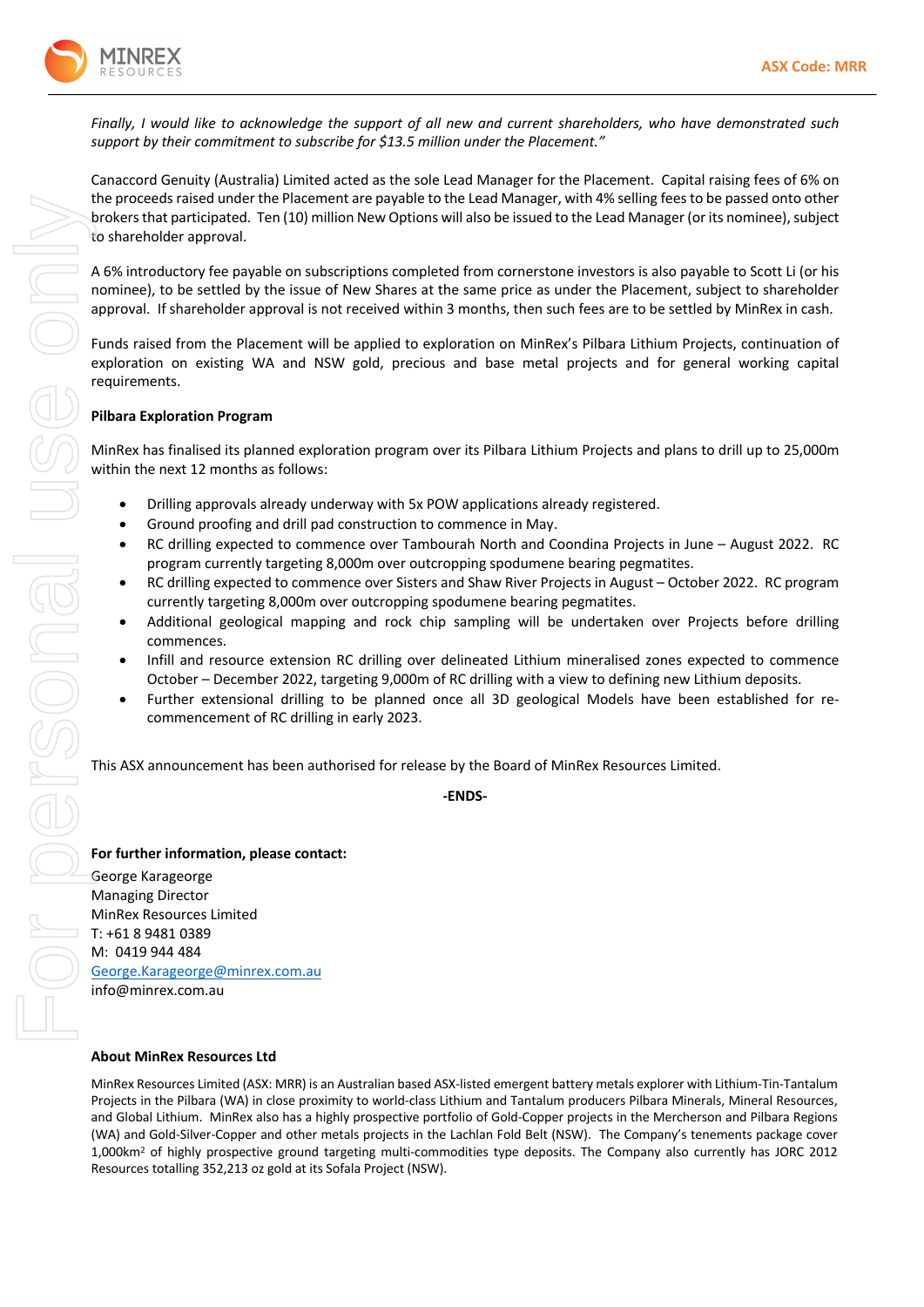

*Finally, I would like to acknowledge the support of all new and current shareholders, who have demonstrated such support by their commitment to subscribe for \$13.5 million under the Placement."*

Canaccord Genuity (Australia) Limited acted as the sole Lead Manager for the Placement. Capital raising fees of 6% on the proceeds raised under the Placement are payable to the Lead Manager, with 4% selling fees to be passed onto other brokers that participated. Ten (10) million New Options will also be issued to the Lead Manager (or its nominee), subject to shareholder approval.

A 6% introductory fee payable on subscriptions completed from cornerstone investors is also payable to Scott Li (or his nominee), to be settled by the issue of New Shares at the same price as under the Placement, subject to shareholder approval. If shareholder approval is not received within 3 months, then such fees are to be settled by MinRex in cash.

Funds raised from the Placement will be applied to exploration on MinRex's Pilbara Lithium Projects, continuation of exploration on existing WA and NSW gold, precious and base metal projects and for general working capital requirements.

### **Pilbara Exploration Program**

MinRex has finalised its planned exploration program over its Pilbara Lithium Projects and plans to drill up to 25,000m within the next 12 months as follows:

- Drilling approvals already underway with 5x POW applications already registered.
- Ground proofing and drill pad construction to commence in May.
- RC drilling expected to commence over Tambourah North and Coondina Projects in June August 2022. RC program currently targeting 8,000m over outcropping spodumene bearing pegmatites.
- RC drilling expected to commence over Sisters and Shaw River Projects in August October 2022. RC program currently targeting 8,000m over outcropping spodumene bearing pegmatites.
- Additional geological mapping and rock chip sampling will be undertaken over Projects before drilling commences.
- Infill and resource extension RC drilling over delineated Lithium mineralised zones expected to commence October – December 2022, targeting 9,000m of RC drilling with a view to defining new Lithium deposits.
- Further extensional drilling to be planned once all 3D geological Models have been established for recommencement of RC drilling in early 2023.

This ASX announcement has been authorised for release by the Board of MinRex Resources Limited.

**-ENDS-**

**For further information, please contact:** George Karageorge Managing Director MinRex Resources Limited T: +61 8 9481 0389 M: 0419 944 484 George.Karageorge@minrex.com.au info@minrex.com.au

#### **About MinRex Resources Ltd**

MinRex Resources Limited (ASX: MRR) is an Australian based ASX-listed emergent battery metals explorer with Lithium-Tin-Tantalum Projects in the Pilbara (WA) in close proximity to world-class Lithium and Tantalum producers Pilbara Minerals, Mineral Resources, and Global Lithium. MinRex also has a highly prospective portfolio of Gold-Copper projects in the Mercherson and Pilbara Regions (WA) and Gold-Silver-Copper and other metals projects in the Lachlan Fold Belt (NSW). The Company's tenements package cover 1,000km2 of highly prospective ground targeting multi-commodities type deposits. The Company also currently has JORC 2012